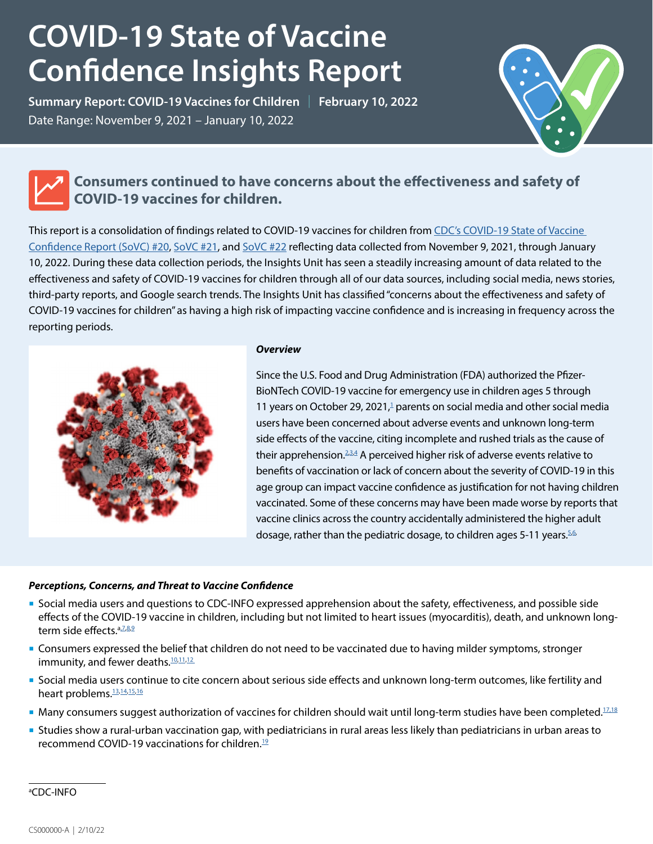# **COVID-19 State of Vaccine Confidence Insights Report**

**Summary Report: COVID-19 Vaccines for Children** | **February 10, 2022** Date Range: November 9, 2021 – January 10, 2022



### **Consumers continued to have concerns about the effectiveness and safety of COVID-19 vaccines for children.**

This report is a consolidation of findings related to COVID-19 vaccines for children from [CDC's COVID-19 State of Vaccine](https://www.cdc.gov/vaccines/covid-19/downloads/SoVC_report20.pdf)  [Confidence Report \(SoVC\) #20,](https://www.cdc.gov/vaccines/covid-19/downloads/SoVC_report20.pdf) [SoVC #21](https://www.cdc.gov/vaccines/covid-19/downloads/SoVC_report21.pdf), and [SoVC #22](https://www.cdc.gov/vaccines/covid-19/downloads/SoVC_report22.pdf) reflecting data collected from November 9, 2021, through January 10, 2022. During these data collection periods, the Insights Unit has seen a steadily increasing amount of data related to the effectiveness and safety of COVID-19 vaccines for children through all of our data sources, including social media, news stories, third-party reports, and Google search trends. The Insights Unit has classified "concerns about the effectiveness and safety of COVID-19 vaccines for children" as having a high risk of impacting vaccine confidence and is increasing in frequency across the reporting periods.



#### *Overview*

Since the U.S. Food and Drug Administration (FDA) authorized the Pfizer-BioNTech COVID-19 vaccine for emergency use in children ages 5 through 11 years on October 29, 2021, $\frac{1}{4}$  parents on social media and other social media users have been concerned about adverse events and unknown long-term side effects of the vaccine, citing incomplete and rushed trials as the cause of their apprehension. $^{23.4}_{-}$  $^{23.4}_{-}$  $^{23.4}_{-}$  A perceived higher risk of adverse events relative to benefits of vaccination or lack of concern about the severity of COVID-19 in this age group can impact vaccine confidence as justification for not having children vaccinated. Some of these concerns may have been made worse by reports that vaccine clinics across the country accidentally administered the higher adult dosage, rather than the pediatric dosage, to children ages 5-11 years.  $5.6$ 

#### *Perceptions, Concerns, and Threat to Vaccine Confidence*

- Social media users and questions to CDC-INFO expressed apprehension about the safety, effectiveness, and possible side effects of the COVID-19 vaccine in children, including but not limited to heart issues (myocarditis), death, and unknown long-term side effects.<sup>a,Z,[8](https://www.instagram.com/p/CW6lh_osY87/c/18103657381284016/)[,9](https://twitter.com/jonesville/status/1468429407970758658)</sup>
- Consumers expressed the belief that children do not need to be vaccinated due to having milder symptoms, stronger immunity, and fewer deaths.<sup>10,[11,](https://www.instagram.com/p/CXekSsrtJbb/c/17899334309330445/)[12](https://twitter.com/Openwindowtrav1/status/1466519931902701573)</sup>
- Social media users continue to cite concern about serious side effects and unknown long-term outcomes, like fertility and heart problems.<sup>13,[14](https://www.instagram.com/p/CYCnOXnFMf4/c/18175270060162745/%22%20/t%20%22_blank)[,15,](https://www.facebook.com/cdc/posts/282891250538987?comment_id=571983990636944&__cft__%5b0%5d=AZUEkjRxdiT5tRalIBju7_L9o7vMwNZjYZeGAaRemFWF6UDzcY861stavq1Omo9llzlduRGBXLADtI7OUyPIYGHGpCMmqt7mH2Tw9EEMthZI8JHdr1Cn6oKaDiSqJqflyBA7SSl28v3RZ0O2hJUxKR_W&__tn__=R%5d-R%22%20\t%20%22_blank)[16](https://www.facebook.com/cdc/posts/287434433418002?comment_id=287452040082908&__cft__%5b0%5d=AZXt_AyXlTXy4iQYKkwV7O-gpG7q1IpmkbkbvO3nlygac3RV-ZPbwdYLLwIUzQzDB1MdH093xI7QcyDBNeU75htOp3jo7_xBG12vo7vnw3VhRLXEeNOaheLYESzmFQ-0wZUOJWOCjJQYZoDEBN_cfQ70&__tn__=R%5d-R%22%20\t%20%22_blank)</sup>
- **Many consumers suggest authorization of vaccines for children should wait until long-term studies have been completed.**<sup>17,[18](https://www.facebook.com/cdc/posts/283563710471741?comment_id=283585380469574&__cft__%5b0%5d=AZWsr-nqZA4LTFA1lzTL9XnvhKwv3LmaAU0n-v-Vv7YEFuA2GTRNMv2dfi6hUd4rfMXAjgXHUSGvRILM0dqcf5mD8qUSzCfSocWDIGDAzoFhHOkGrtWwIEvrVqk810-Z79HPWZE3dy3osDQsy2JQw8pI&__tn__=R%5d-R%22%20\t%20%22_blank)</sup>
- Studies show a rural-urban vaccination gap, with pediatricians in rural areas less likely than pediatricians in urban areas to recommend COVID-[19](https://www.kff.org/coronavirus-covid-19/poll-finding/kff-covid-19-vaccine-monitor-vaccine-attitudes-rural-suburban-urban/) vaccinations for children.<sup>19</sup>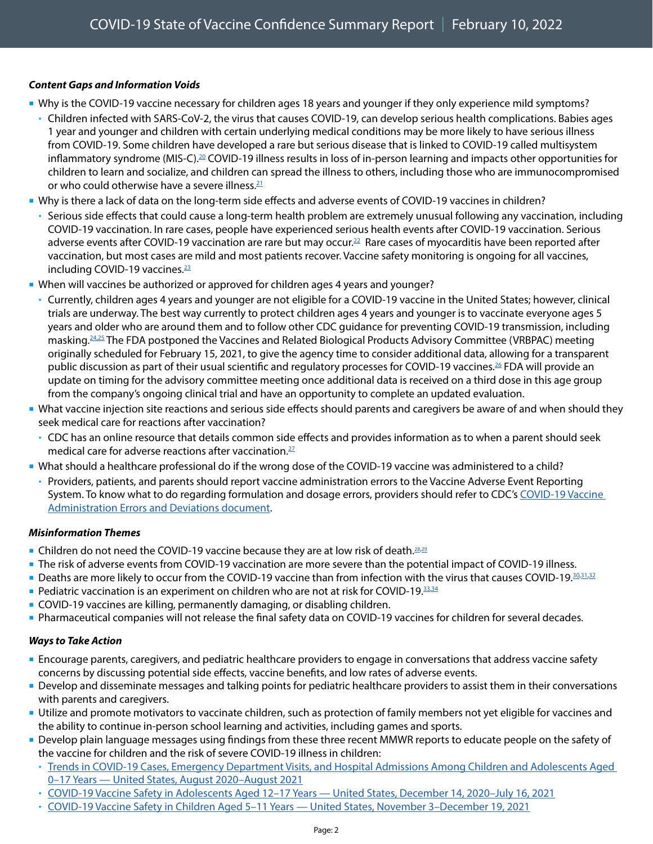#### *Content Gaps and Information Voids*

- Why is the COVID-19 vaccine necessary for children ages 18 years and younger if they only experience mild symptoms?
	- Children infected with SARS-CoV-2, the virus that causes COVID-19, can develop serious health complications. Babies ages 1 year and younger and children with certain underlying medical conditions may be more likely to have serious illness from COVID-19. Some children have developed a rare but serious disease that is linked to COVID-19 called multisystem inflammatory syndrome (MIS-C).<sup>20</sup> COVID-19 illness results in loss of in-person learning and impacts other opportunities for children to learn and socialize, and children can spread the illness to others, including those who are immunocompromised or who could otherwise have a severe illness. $21$
- Why is there a lack of data on the long-term side effects and adverse events of COVID-19 vaccines in children?
	- Serious side effects that could cause a long-term health problem are extremely unusual following any vaccination, including COVID-19 vaccination. In rare cases, people have experienced serious health events after COVID-19 vaccination. Serious adverse events after COVID-19 vaccination are rare but may occur.<sup>22</sup> Rare cases of myocarditis have been reported after vaccination, but most cases are mild and most patients recover. Vaccine safety monitoring is ongoing for all vaccines, including COVID-19 vaccines.<sup>[23](https://www.cdc.gov/coronavirus/2019-ncov/vaccines/recommendations/children-teens.html?CDC_AA_refVal=https%3A%2F%2Fwww.cdc.gov%2Fcoronavirus%2F2019-ncov%2Fvaccines%2Frecommendations%2Fadolescents.html)</sup>
- When will vaccines be authorized or approved for children ages 4 years and younger?
	- Currently, children ages 4 years and younger are not eligible for a COVID-19 vaccine in the United States; however, clinical trials are underway. The best way currently to protect children ages 4 years and younger is to vaccinate everyone ages 5 years and older who are around them and to follow other CDC guidance for preventing COVID-19 transmission, including masking[.24,](https://www.npr.org/2021/05/17/997029362/clinical-trials-underway-for-5-and-younger-covid-19-vaccinations)[25](https://www.cdc.gov/coronavirus/2019-ncov/vaccines/recommendations/children-teens.html?CDC_AA_refVal=https%3A%2F%2Fwww.cdc.gov%2Fcoronavirus%2F2019-ncov%2Fvaccines%2Frecommendations%2Fadolescents.html) The FDA postponed the Vaccines and Related Biological Products Advisory Committee (VRBPAC) meeting originally scheduled for February 15, 2021, to give the agency time to consider additional data, allowing for a transparent public discussion as part of their usual scientific and regulatory processes for COVID-19 vaccines.<sup>26</sup> FDA will provide an update on timing for the advisory committee meeting once additional data is received on a third dose in this age group from the company's ongoing clinical trial and have an opportunity to complete an updated evaluation.
- What vaccine injection site reactions and serious side effects should parents and caregivers be aware of and when should they seek medical care for reactions after vaccination?
	- CDC has an online resource that details common side effects and provides information as to when a parent should seek medical care for adverse reactions after vaccination. $^{27}$
- What should a healthcare professional do if the wrong dose of the COVID-19 vaccine was administered to a child?
	- Providers, patients, and parents should report vaccine administration errors to the Vaccine Adverse Event Reporting System. To know what to do regarding formulation and dosage errors, providers should refer to CDC's [COVID-19 Vaccine](https://www.cdc.gov/vaccines/covid-19/downloads/covid19-vaccine-errors-deviations.pdf)  [Administration Errors and Deviations document](https://www.cdc.gov/vaccines/covid-19/downloads/covid19-vaccine-errors-deviations.pdf).

#### *Misinformation Themes*

- **Children do not need the COVID-19 vaccine because they are at low risk of death.**<sup>[28](https://www.instagram.com/p/CXR8IXeMt1L/c/17854751633671165/)[,29](https://twitter.com/Humble_Analysis/status/1468459072659861506)</sup>
- The risk of adverse events from COVID-19 vaccination are more severe than the potential impact of COVID-19 illness.
- Deaths are more likely to occur from the COVID-19 vaccine than from infection with the virus that causes COVID-19[.30,](https://www.usatoday.com/story/news/factcheck/2021/12/02/fact-check-more-children-not-die-vaccine-than-covid-19/8740405002/)[31](https://www.facebook.com/cdc/posts/269136811914431?comment_id=602171074169272&__cft__%5b0%5d=AZXeX5tkHWsj8F9ftdGgkm3DbCSWkug7ihpJVeCBXsG6TSaD9F8yTDX3ES1EVytQQ4e2HOPXDKkiP-uI4k7RqIuwI9t9fTB6thylggB0XvmtL_2msYaNMyG_eWeTxhjpvMvEytKLXYeFICJsz-ufzvgi&__tn__=R%5d-R)[,32](https://www.instagram.com/p/CXJ25l2FnnS/c/17910898151225046/)
- Pediatric vaccination is an experiment on children who are not at risk for COVID-19. $33,34$  $33,34$
- COVID-19 vaccines are killing, permanently damaging, or disabling children.
- Pharmaceutical companies will not release the final safety data on COVID-19 vaccines for children for several decades.

#### *Ways to Take Action*

- Encourage parents, caregivers, and pediatric healthcare providers to engage in conversations that address vaccine safety concerns by discussing potential side effects, vaccine benefits, and low rates of adverse events.
- Develop and disseminate messages and talking points for pediatric healthcare providers to assist them in their conversations with parents and caregivers.
- Utilize and promote motivators to vaccinate children, such as protection of family members not yet eligible for vaccines and the ability to continue in-person school learning and activities, including games and sports.
- Develop plain language messages using findings from these three recent MMWR reports to educate people on the safety of the vaccine for children and the risk of severe COVID-19 illness in children:
	- [Trends in COVID-19 Cases, Emergency Department Visits, and Hospital Admissions Among Children and Adolescents Aged](http://dx.doi.org/10.15585/mmwr.mm7036e1)  [0–17 Years — United States, August 2020–August 2021](http://dx.doi.org/10.15585/mmwr.mm7036e1)
	- [COVID-19 Vaccine Safety in Adolescents Aged 12–17 Years United States, December 14, 2020–July 16, 2021](http://dx.doi.org/10.15585/mmwr.mm7031e1)
	- [COVID-19 Vaccine Safety in Children Aged 5–11 Years United States, November 3–December 19, 2021](https://www.cdc.gov/mmwr/volumes/70/wr/mm705152a1.htm)